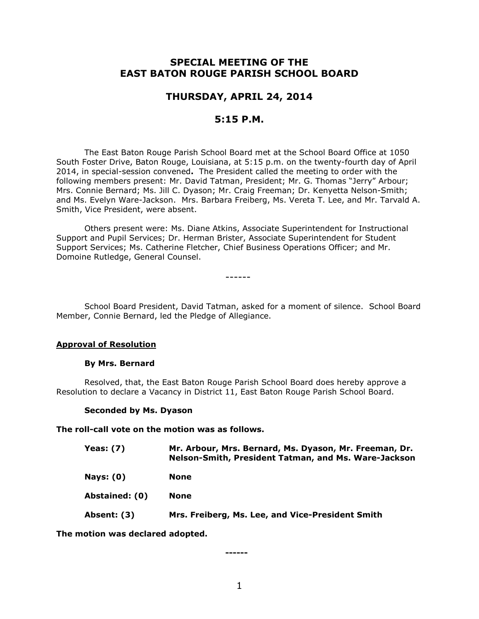# **SPECIAL MEETING OF THE EAST BATON ROUGE PARISH SCHOOL BOARD**

## **THURSDAY, APRIL 24, 2014**

## **5:15 P.M.**

The East Baton Rouge Parish School Board met at the School Board Office at 1050 South Foster Drive, Baton Rouge, Louisiana, at 5:15 p.m. on the twenty-fourth day of April 2014, in special-session convened**.** The President called the meeting to order with the following members present: Mr. David Tatman, President; Mr. G. Thomas "Jerry" Arbour; Mrs. Connie Bernard; Ms. Jill C. Dyason; Mr. Craig Freeman; Dr. Kenyetta Nelson-Smith; and Ms. Evelyn Ware-Jackson. Mrs. Barbara Freiberg, Ms. Vereta T. Lee, and Mr. Tarvald A. Smith, Vice President, were absent.

Others present were: Ms. Diane Atkins, Associate Superintendent for Instructional Support and Pupil Services; Dr. Herman Brister, Associate Superintendent for Student Support Services; Ms. Catherine Fletcher, Chief Business Operations Officer; and Mr. Domoine Rutledge, General Counsel.

School Board President, David Tatman, asked for a moment of silence. School Board Member, Connie Bernard, led the Pledge of Allegiance.

------

### **Approval of Resolution**

#### **By Mrs. Bernard**

Resolved, that, the East Baton Rouge Parish School Board does hereby approve a Resolution to declare a Vacancy in District 11, East Baton Rouge Parish School Board.

### **Seconded by Ms. Dyason**

**The roll-call vote on the motion was as follows.**

| Yeas: $(7)$    | Mr. Arbour, Mrs. Bernard, Ms. Dyason, Mr. Freeman, Dr.<br>Nelson-Smith, President Tatman, and Ms. Ware-Jackson |
|----------------|----------------------------------------------------------------------------------------------------------------|
| Nays: $(0)$    | None                                                                                                           |
| Abstained: (0) | <b>None</b>                                                                                                    |
| Absent: (3)    | Mrs. Freiberg, Ms. Lee, and Vice-President Smith                                                               |

**The motion was declared adopted.**

**------**